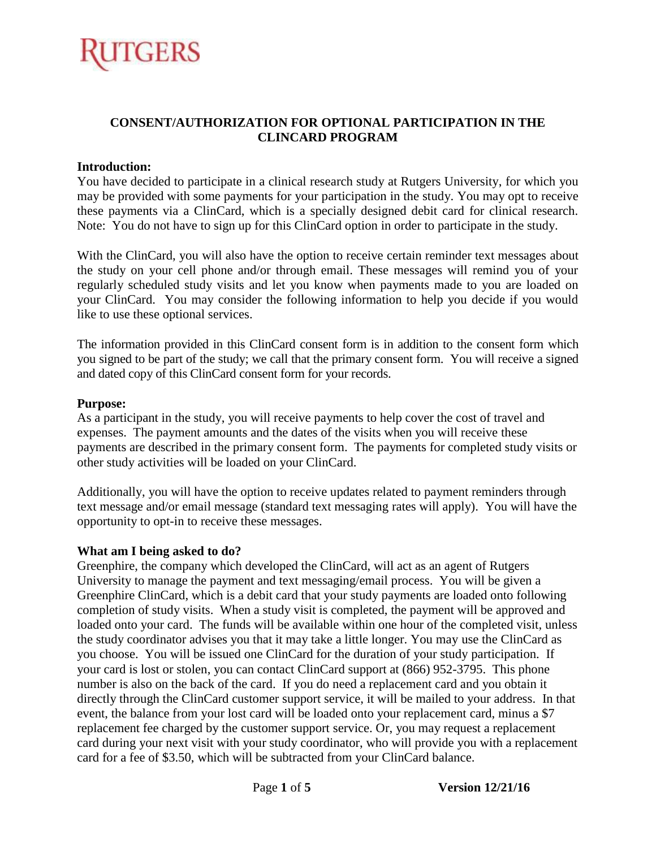# TGERS

#### **CONSENT/AUTHORIZATION FOR OPTIONAL PARTICIPATION IN THE CLINCARD PROGRAM**

#### **Introduction:**

You have decided to participate in a clinical research study at Rutgers University, for which you may be provided with some payments for your participation in the study. You may opt to receive these payments via a ClinCard, which is a specially designed debit card for clinical research. Note: You do not have to sign up for this ClinCard option in order to participate in the study.

With the ClinCard, you will also have the option to receive certain reminder text messages about the study on your cell phone and/or through email. These messages will remind you of your regularly scheduled study visits and let you know when payments made to you are loaded on your ClinCard. You may consider the following information to help you decide if you would like to use these optional services.

The information provided in this ClinCard consent form is in addition to the consent form which you signed to be part of the study; we call that the primary consent form. You will receive a signed and dated copy of this ClinCard consent form for your records.

#### **Purpose:**

As a participant in the study, you will receive payments to help cover the cost of travel and expenses. The payment amounts and the dates of the visits when you will receive these payments are described in the primary consent form. The payments for completed study visits or other study activities will be loaded on your ClinCard.

Additionally, you will have the option to receive updates related to payment reminders through text message and/or email message (standard text messaging rates will apply). You will have the opportunity to opt-in to receive these messages.

#### **What am I being asked to do?**

Greenphire, the company which developed the ClinCard, will act as an agent of Rutgers University to manage the payment and text messaging/email process. You will be given a Greenphire ClinCard, which is a debit card that your study payments are loaded onto following completion of study visits. When a study visit is completed, the payment will be approved and loaded onto your card. The funds will be available within one hour of the completed visit, unless the study coordinator advises you that it may take a little longer. You may use the ClinCard as you choose. You will be issued one ClinCard for the duration of your study participation. If your card is lost or stolen, you can contact ClinCard support at (866) 952-3795. This phone number is also on the back of the card. If you do need a replacement card and you obtain it directly through the ClinCard customer support service, it will be mailed to your address. In that event, the balance from your lost card will be loaded onto your replacement card, minus a \$7 replacement fee charged by the customer support service. Or, you may request a replacement card during your next visit with your study coordinator, who will provide you with a replacement card for a fee of \$3.50, which will be subtracted from your ClinCard balance.

Page **1** of **5 Version 12/21/16**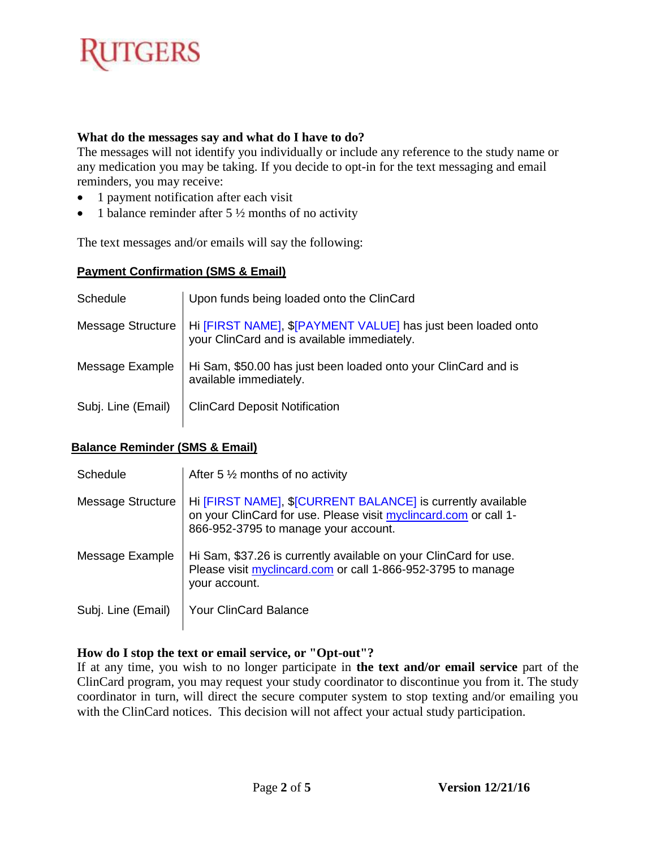# **TGERS**

#### **What do the messages say and what do I have to do?**

The messages will not identify you individually or include any reference to the study name or any medication you may be taking. If you decide to opt-in for the text messaging and email reminders, you may receive:

- 1 payment notification after each visit
- 1 balance reminder after  $5\frac{1}{2}$  months of no activity

The text messages and/or emails will say the following:

#### **Payment Confirmation (SMS & Email)**

| Schedule           | Upon funds being loaded onto the ClinCard                                                                   |
|--------------------|-------------------------------------------------------------------------------------------------------------|
| Message Structure  | Hi [FIRST NAME], \$[PAYMENT VALUE] has just been loaded onto<br>your ClinCard and is available immediately. |
| Message Example    | Hi Sam, \$50.00 has just been loaded onto your ClinCard and is<br>available immediately.                    |
| Subj. Line (Email) | <b>ClinCard Deposit Notification</b>                                                                        |

#### **Balance Reminder (SMS & Email)**

| Schedule           | After 5 $\frac{1}{2}$ months of no activity                                                                                                                             |
|--------------------|-------------------------------------------------------------------------------------------------------------------------------------------------------------------------|
| Message Structure  | Hi [FIRST NAME], \$[CURRENT BALANCE] is currently available<br>on your ClinCard for use. Please visit myclincard.com or call 1-<br>866-952-3795 to manage your account. |
| Message Example    | Hi Sam, \$37.26 is currently available on your ClinCard for use.<br>Please visit myclincard.com or call 1-866-952-3795 to manage<br>your account.                       |
| Subj. Line (Email) | <b>Your ClinCard Balance</b>                                                                                                                                            |

#### **How do I stop the text or email service, or "Opt-out"?**

If at any time, you wish to no longer participate in **the text and/or email service** part of the ClinCard program, you may request your study coordinator to discontinue you from it. The study coordinator in turn, will direct the secure computer system to stop texting and/or emailing you with the ClinCard notices. This decision will not affect your actual study participation.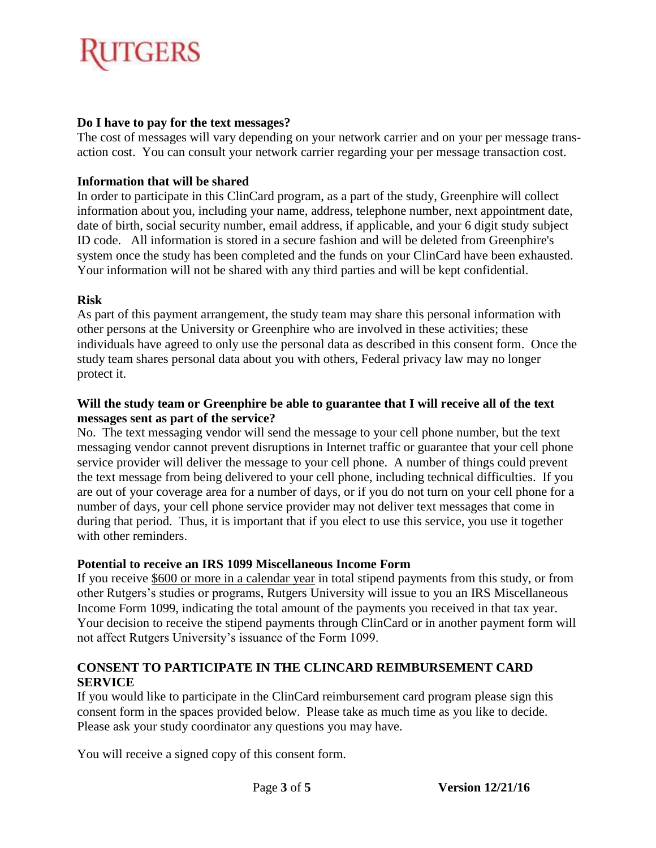# TGERS

### **Do I have to pay for the text messages?**

The cost of messages will vary depending on your network carrier and on your per message transaction cost. You can consult your network carrier regarding your per message transaction cost.

### **Information that will be shared**

In order to participate in this ClinCard program, as a part of the study, Greenphire will collect information about you, including your name, address, telephone number, next appointment date, date of birth, social security number, email address, if applicable, and your 6 digit study subject ID code. All information is stored in a secure fashion and will be deleted from Greenphire's system once the study has been completed and the funds on your ClinCard have been exhausted. Your information will not be shared with any third parties and will be kept confidential.

### **Risk**

As part of this payment arrangement, the study team may share this personal information with other persons at the University or Greenphire who are involved in these activities; these individuals have agreed to only use the personal data as described in this consent form. Once the study team shares personal data about you with others, Federal privacy law may no longer protect it.

#### **Will the study team or Greenphire be able to guarantee that I will receive all of the text messages sent as part of the service?**

No. The text messaging vendor will send the message to your cell phone number, but the text messaging vendor cannot prevent disruptions in Internet traffic or guarantee that your cell phone service provider will deliver the message to your cell phone. A number of things could prevent the text message from being delivered to your cell phone, including technical difficulties. If you are out of your coverage area for a number of days, or if you do not turn on your cell phone for a number of days, your cell phone service provider may not deliver text messages that come in during that period. Thus, it is important that if you elect to use this service, you use it together with other reminders.

#### **Potential to receive an IRS 1099 Miscellaneous Income Form**

If you receive \$600 or more in a calendar year in total stipend payments from this study, or from other Rutgers's studies or programs, Rutgers University will issue to you an IRS Miscellaneous Income Form 1099, indicating the total amount of the payments you received in that tax year. Your decision to receive the stipend payments through ClinCard or in another payment form will not affect Rutgers University's issuance of the Form 1099.

### **CONSENT TO PARTICIPATE IN THE CLINCARD REIMBURSEMENT CARD SERVICE**

If you would like to participate in the ClinCard reimbursement card program please sign this consent form in the spaces provided below. Please take as much time as you like to decide. Please ask your study coordinator any questions you may have.

You will receive a signed copy of this consent form.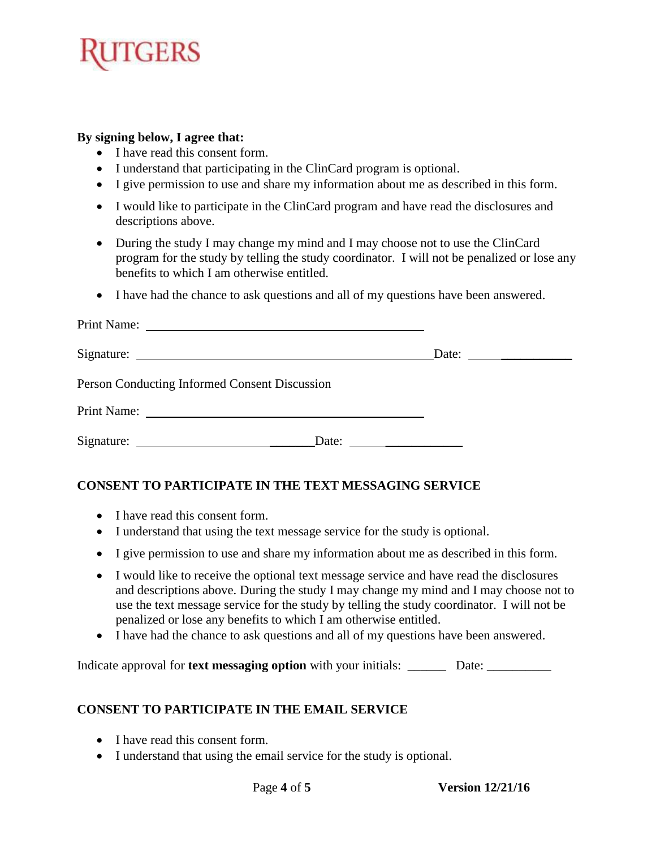# **GERS**

#### **By signing below, I agree that:**

- I have read this consent form.
- I understand that participating in the ClinCard program is optional.
- I give permission to use and share my information about me as described in this form.
- I would like to participate in the ClinCard program and have read the disclosures and descriptions above.
- During the study I may change my mind and I may choose not to use the ClinCard program for the study by telling the study coordinator. I will not be penalized or lose any benefits to which I am otherwise entitled.
- I have had the chance to ask questions and all of my questions have been answered.

|                                               | Date: $\qquad \qquad$ |
|-----------------------------------------------|-----------------------|
| Person Conducting Informed Consent Discussion |                       |
|                                               |                       |
|                                               | Date: $\qquad \qquad$ |

### **CONSENT TO PARTICIPATE IN THE TEXT MESSAGING SERVICE**

- I have read this consent form.
- I understand that using the text message service for the study is optional.
- I give permission to use and share my information about me as described in this form.
- I would like to receive the optional text message service and have read the disclosures and descriptions above. During the study I may change my mind and I may choose not to use the text message service for the study by telling the study coordinator. I will not be penalized or lose any benefits to which I am otherwise entitled.
- I have had the chance to ask questions and all of my questions have been answered.

Indicate approval for **text messaging option** with your initials: \_\_\_\_\_\_\_\_\_\_\_ Date: \_\_\_\_\_\_\_\_\_\_\_\_\_\_\_\_

### **CONSENT TO PARTICIPATE IN THE EMAIL SERVICE**

- I have read this consent form.
- I understand that using the email service for the study is optional.